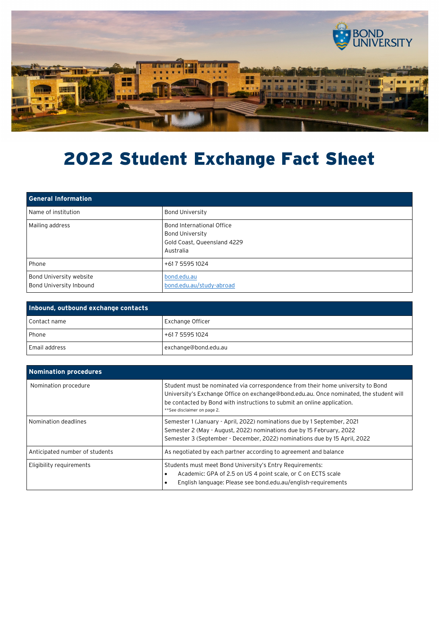

## 2022 Student Exchange Fact Sheet

| <b>General Information</b>                                |                                                                                                 |
|-----------------------------------------------------------|-------------------------------------------------------------------------------------------------|
| Name of institution                                       | <b>Bond University</b>                                                                          |
| Mailing address                                           | Bond International Office<br><b>Bond University</b><br>Gold Coast, Queensland 4229<br>Australia |
| Phone                                                     | +617 5595 1024                                                                                  |
| <b>Bond University website</b><br>Bond University Inbound | bond.edu.au<br>bond.edu.au/study-abroad                                                         |

| Inbound, outbound exchange contacts |                         |
|-------------------------------------|-------------------------|
| Contact name                        | <b>Exchange Officer</b> |
| <b>Phone</b>                        | +617 5595 1024          |
| Email address                       | exchange@bond.edu.au    |

| Nomination procedures          |                                                                                                                                                                                                                                                                                     |
|--------------------------------|-------------------------------------------------------------------------------------------------------------------------------------------------------------------------------------------------------------------------------------------------------------------------------------|
| Nomination procedure           | Student must be nominated via correspondence from their home university to Bond<br>University's Exchange Office on exchange@bond.edu.au. Once nominated, the student will<br>be contacted by Bond with instructions to submit an online application.<br>**See disclaimer on page 2. |
| Nomination deadlines           | Semester 1 (January - April, 2022) nominations due by 1 September, 2021<br>Semester 2 (May - August, 2022) nominations due by 15 February, 2022<br>Semester 3 (September - December, 2022) nominations due by 15 April, 2022                                                        |
| Anticipated number of students | As negotiated by each partner according to agreement and balance                                                                                                                                                                                                                    |
| Eligibility requirements       | Students must meet Bond University's Entry Requirements:<br>Academic: GPA of 2.5 on US 4 point scale, or C on ECTS scale<br>English language: Please see bond.edu.au/english-requirements                                                                                           |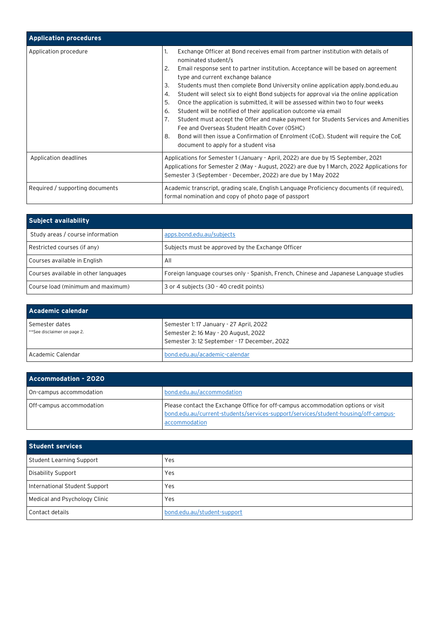| <b>Application procedures</b>   |                                                                                                                                                                                                                                                                                                                                                                                                                                                                                                                                                                                                                                                                                                                                                                                                                                                                                             |
|---------------------------------|---------------------------------------------------------------------------------------------------------------------------------------------------------------------------------------------------------------------------------------------------------------------------------------------------------------------------------------------------------------------------------------------------------------------------------------------------------------------------------------------------------------------------------------------------------------------------------------------------------------------------------------------------------------------------------------------------------------------------------------------------------------------------------------------------------------------------------------------------------------------------------------------|
| Application procedure           | Exchange Officer at Bond receives email from partner institution with details of<br>1.<br>nominated student/s<br>2.<br>Email response sent to partner institution. Acceptance will be based on agreement<br>type and current exchange balance<br>3.<br>Students must then complete Bond University online application apply.bond.edu.au<br>4.<br>Student will select six to eight Bond subjects for approval via the online application<br>5.<br>Once the application is submitted, it will be assessed within two to four weeks<br>Student will be notified of their application outcome via email<br>6.<br>7.<br>Student must accept the Offer and make payment for Students Services and Amenities<br>Fee and Overseas Student Health Cover (OSHC)<br>Bond will then issue a Confirmation of Enrolment (CoE). Student will require the CoE<br>8.<br>document to apply for a student visa |
| Application deadlines           | Applications for Semester 1 (January - April, 2022) are due by 15 September, 2021<br>Applications for Semester 2 (May - August, 2022) are due by 1 March, 2022 Applications for<br>Semester 3 (September - December, 2022) are due by 1 May 2022                                                                                                                                                                                                                                                                                                                                                                                                                                                                                                                                                                                                                                            |
| Required / supporting documents | Academic transcript, grading scale, English Language Proficiency documents (if required),<br>formal nomination and copy of photo page of passport                                                                                                                                                                                                                                                                                                                                                                                                                                                                                                                                                                                                                                                                                                                                           |

| <b>Subject availability</b>          |                                                                                        |
|--------------------------------------|----------------------------------------------------------------------------------------|
| Study areas / course information     | apps.bond.edu.au/subjects                                                              |
| Restricted courses (if any)          | Subjects must be approved by the Exchange Officer                                      |
| Courses available in English         | All                                                                                    |
| Courses available in other languages | Foreign language courses only - Spanish, French, Chinese and Japanese Language studies |
| Course load (minimum and maximum)    | 3 or 4 subjects (30 - 40 credit points)                                                |

| Academic calendar                             |                                                                                                                               |
|-----------------------------------------------|-------------------------------------------------------------------------------------------------------------------------------|
| Semester dates<br>**See disclaimer on page 2. | Semester 1: 17 January - 27 April, 2022<br>Semester 2:16 May - 20 August, 2022<br>Semester 3:12 September - 17 December, 2022 |
| Academic Calendar                             | bond.edu.au/academic-calendar                                                                                                 |

| Accommodation - 2020     |                                                                                                                                                                                         |
|--------------------------|-----------------------------------------------------------------------------------------------------------------------------------------------------------------------------------------|
| On-campus accommodation  | bond.edu.au/accommodation                                                                                                                                                               |
| Off-campus accommodation | Please contact the Exchange Office for off-campus accommodation options or visit<br>bond.edu.au/current-students/services-support/services/student-housing/off-campus-<br>accommodation |

| Student services              |                             |
|-------------------------------|-----------------------------|
| Student Learning Support      | Yes                         |
| Disability Support            | Yes                         |
| International Student Support | Yes                         |
| Medical and Psychology Clinic | Yes                         |
| Contact details               | bond.edu.au/student-support |